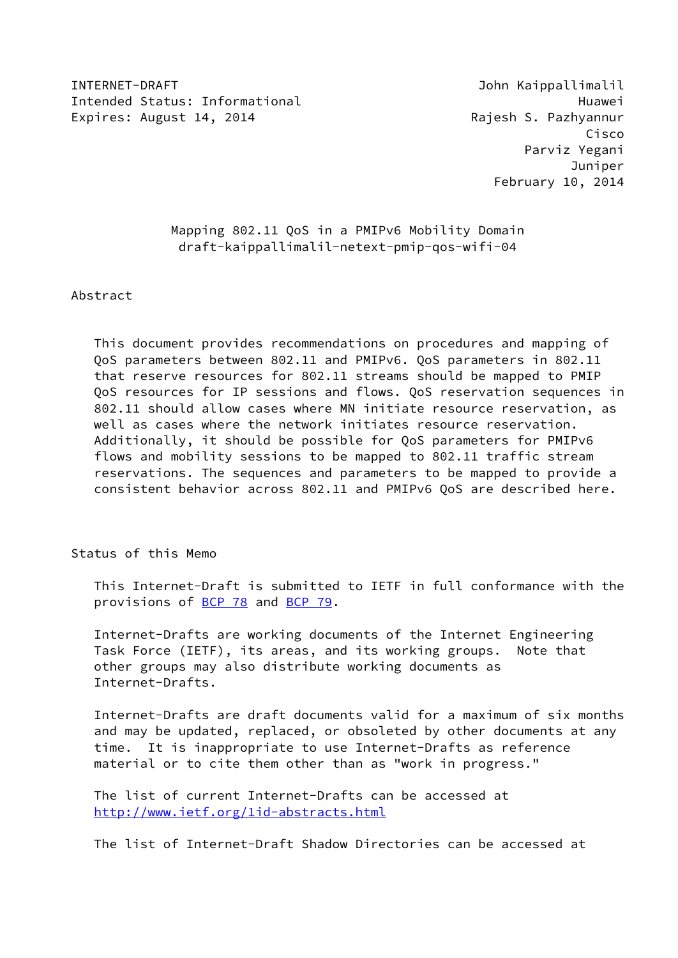INTERNET-DRAFT John Kaippallimalil Intended Status: Informational example and the Huawei Huawei Expires: August 14, 2014 **Rajesh S. Pazhyannur** 

 Cisco Parviz Yegani Juniper February 10, 2014

> Mapping 802.11 QoS in a PMIPv6 Mobility Domain draft-kaippallimalil-netext-pmip-qos-wifi-04

Abstract

 This document provides recommendations on procedures and mapping of QoS parameters between 802.11 and PMIPv6. QoS parameters in 802.11 that reserve resources for 802.11 streams should be mapped to PMIP QoS resources for IP sessions and flows. QoS reservation sequences in 802.11 should allow cases where MN initiate resource reservation, as well as cases where the network initiates resource reservation. Additionally, it should be possible for QoS parameters for PMIPv6 flows and mobility sessions to be mapped to 802.11 traffic stream reservations. The sequences and parameters to be mapped to provide a consistent behavior across 802.11 and PMIPv6 QoS are described here.

### Status of this Memo

 This Internet-Draft is submitted to IETF in full conformance with the provisions of [BCP 78](https://datatracker.ietf.org/doc/pdf/bcp78) and [BCP 79](https://datatracker.ietf.org/doc/pdf/bcp79).

 Internet-Drafts are working documents of the Internet Engineering Task Force (IETF), its areas, and its working groups. Note that other groups may also distribute working documents as Internet-Drafts.

 Internet-Drafts are draft documents valid for a maximum of six months and may be updated, replaced, or obsoleted by other documents at any time. It is inappropriate to use Internet-Drafts as reference material or to cite them other than as "work in progress."

 The list of current Internet-Drafts can be accessed at <http://www.ietf.org/1id-abstracts.html>

The list of Internet-Draft Shadow Directories can be accessed at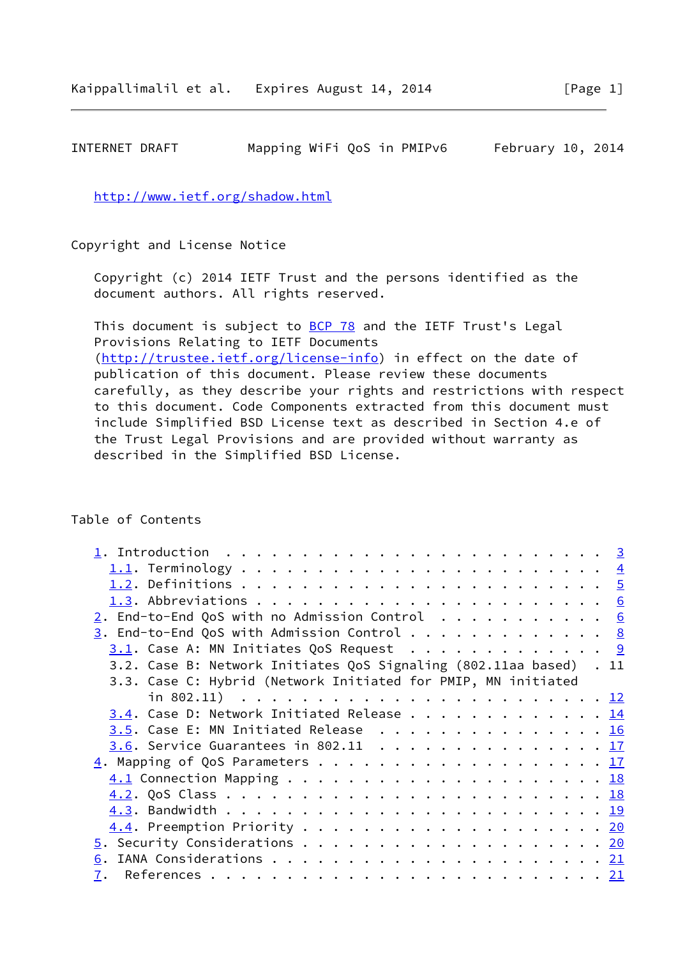# INTERNET DRAFT Mapping WiFi QoS in PMIPv6 February 10, 2014

<http://www.ietf.org/shadow.html>

Copyright and License Notice

 Copyright (c) 2014 IETF Trust and the persons identified as the document authors. All rights reserved.

This document is subject to **[BCP 78](https://datatracker.ietf.org/doc/pdf/bcp78)** and the IETF Trust's Legal Provisions Relating to IETF Documents [\(http://trustee.ietf.org/license-info](http://trustee.ietf.org/license-info)) in effect on the date of publication of this document. Please review these documents carefully, as they describe your rights and restrictions with respect to this document. Code Components extracted from this document must include Simplified BSD License text as described in Section 4.e of the Trust Legal Provisions and are provided without warranty as described in the Simplified BSD License.

## Table of Contents

| $\underline{1}$ . Introduction $\quad \ldots \ldots \ldots \ldots \ldots \ldots \ldots \ldots \ldots$ |  |
|-------------------------------------------------------------------------------------------------------|--|
|                                                                                                       |  |
|                                                                                                       |  |
|                                                                                                       |  |
| $2.$ End-to-End QoS with no Admission Control 6                                                       |  |
| $\underline{3}$ . End-to-End QoS with Admission Control 8                                             |  |
| $3.1$ . Case A: MN Initiates QoS Request 9                                                            |  |
| 3.2. Case B: Network Initiates QoS Signaling (802.11aa based) . 11                                    |  |
| 3.3. Case C: Hybrid (Network Initiated for PMIP, MN initiated                                         |  |
|                                                                                                       |  |
| 3.4. Case D: Network Initiated Release 14                                                             |  |
| 3.5. Case E: MN Initiated Release 16                                                                  |  |
| $\underline{3.6}$ . Service Guarantees in 802.11 17                                                   |  |
|                                                                                                       |  |
|                                                                                                       |  |
|                                                                                                       |  |
|                                                                                                       |  |
|                                                                                                       |  |
|                                                                                                       |  |
|                                                                                                       |  |
|                                                                                                       |  |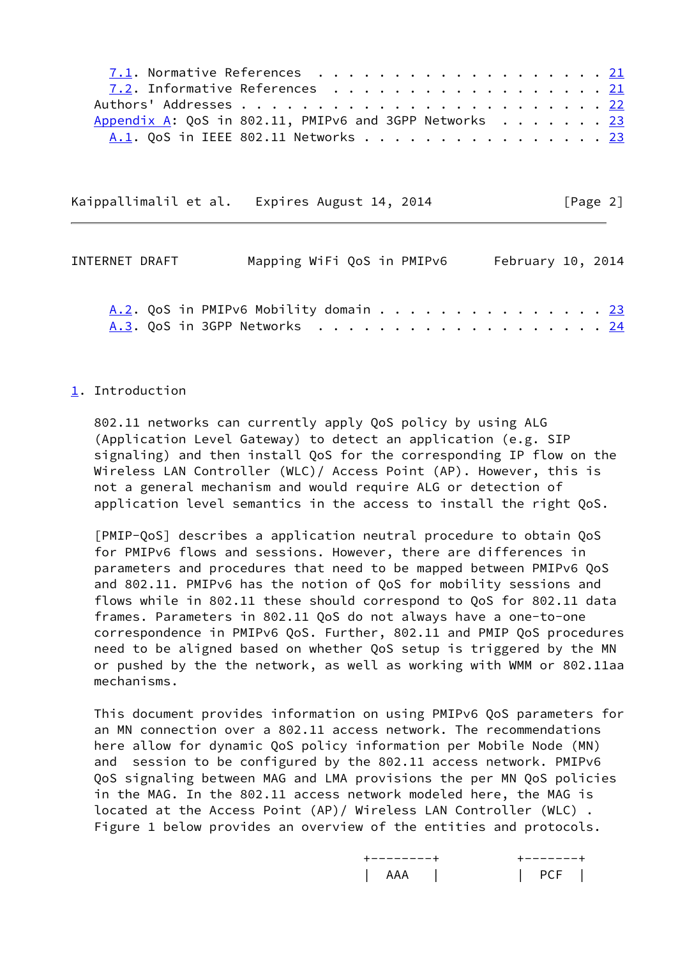| 7.1. Normative References 21                           |  |  |  |  |  |  |  |  |
|--------------------------------------------------------|--|--|--|--|--|--|--|--|
| 7.2. Informative References 21                         |  |  |  |  |  |  |  |  |
|                                                        |  |  |  |  |  |  |  |  |
| Appendix A: QoS in 802.11, PMIPv6 and 3GPP Networks 23 |  |  |  |  |  |  |  |  |
| A.1. OoS in IEEE 802.11 Networks 23                    |  |  |  |  |  |  |  |  |

Kaippallimalil et al. Expires August 14, 2014 [Page 2]

<span id="page-2-1"></span>

| INTERNET DRAFT | Mapping WiFi QoS in PMIPv6            | February 10, 2014 |  |
|----------------|---------------------------------------|-------------------|--|
|                | A.2. OoS in PMIPv6 Mobility domain 23 |                   |  |

### <span id="page-2-0"></span>[1](#page-2-0). Introduction

 802.11 networks can currently apply QoS policy by using ALG (Application Level Gateway) to detect an application (e.g. SIP signaling) and then install QoS for the corresponding IP flow on the Wireless LAN Controller (WLC)/ Access Point (AP). However, this is not a general mechanism and would require ALG or detection of application level semantics in the access to install the right QoS.

<span id="page-2-2"></span> [PMIP-QoS] describes a application neutral procedure to obtain QoS for PMIPv6 flows and sessions. However, there are differences in parameters and procedures that need to be mapped between PMIPv6 QoS and 802.11. PMIPv6 has the notion of QoS for mobility sessions and flows while in 802.11 these should correspond to QoS for 802.11 data frames. Parameters in 802.11 QoS do not always have a one-to-one correspondence in PMIPv6 QoS. Further, 802.11 and PMIP QoS procedures need to be aligned based on whether QoS setup is triggered by the MN or pushed by the the network, as well as working with WMM or 802.11aa mechanisms.

 This document provides information on using PMIPv6 QoS parameters for an MN connection over a 802.11 access network. The recommendations here allow for dynamic QoS policy information per Mobile Node (MN) and session to be configured by the 802.11 access network. PMIPv6 QoS signaling between MAG and LMA provisions the per MN QoS policies in the MAG. In the 802.11 access network modeled here, the MAG is located at the Access Point (AP)/ Wireless LAN Controller (WLC) . Figure 1 below provides an overview of the entities and protocols.

| . |
|---|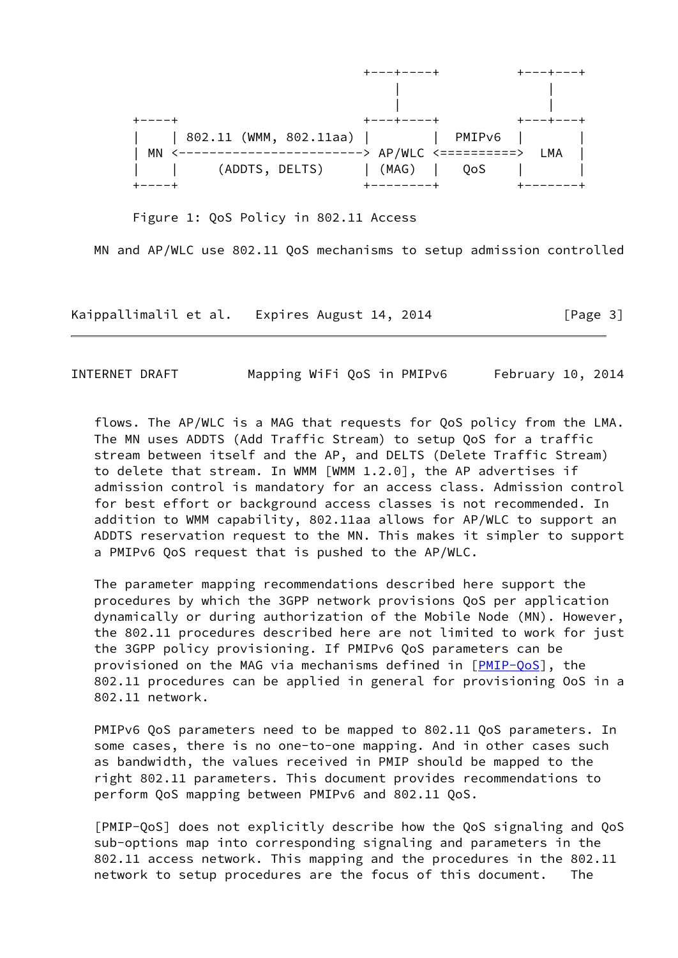

Figure 1: QoS Policy in 802.11 Access

MN and AP/WLC use 802.11 QoS mechanisms to setup admission controlled

Kaippallimalil et al. Expires August 14, 2014 [Page 3]

<span id="page-3-0"></span>INTERNET DRAFT Mapping WiFi QoS in PMIPv6 February 10, 2014

 flows. The AP/WLC is a MAG that requests for QoS policy from the LMA. The MN uses ADDTS (Add Traffic Stream) to setup QoS for a traffic stream between itself and the AP, and DELTS (Delete Traffic Stream) to delete that stream. In WMM [WMM 1.2.0], the AP advertises if admission control is mandatory for an access class. Admission control for best effort or background access classes is not recommended. In addition to WMM capability, 802.11aa allows for AP/WLC to support an ADDTS reservation request to the MN. This makes it simpler to support a PMIPv6 QoS request that is pushed to the AP/WLC.

 The parameter mapping recommendations described here support the procedures by which the 3GPP network provisions QoS per application dynamically or during authorization of the Mobile Node (MN). However, the 802.11 procedures described here are not limited to work for just the 3GPP policy provisioning. If PMIPv6 QoS parameters can be provisioned on the MAG via mechanisms defined in [\[PMIP-QoS](#page-2-2)], the 802.11 procedures can be applied in general for provisioning OoS in a 802.11 network.

 PMIPv6 QoS parameters need to be mapped to 802.11 QoS parameters. In some cases, there is no one-to-one mapping. And in other cases such as bandwidth, the values received in PMIP should be mapped to the right 802.11 parameters. This document provides recommendations to perform QoS mapping between PMIPv6 and 802.11 QoS.

 [PMIP-QoS] does not explicitly describe how the QoS signaling and QoS sub-options map into corresponding signaling and parameters in the 802.11 access network. This mapping and the procedures in the 802.11 network to setup procedures are the focus of this document. The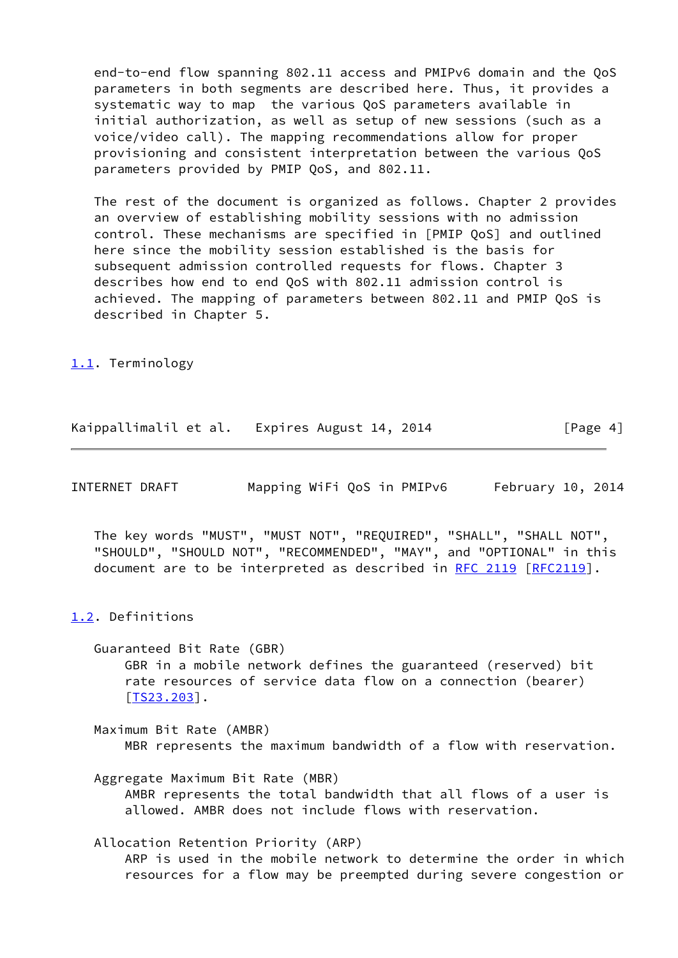end-to-end flow spanning 802.11 access and PMIPv6 domain and the QoS parameters in both segments are described here. Thus, it provides a systematic way to map the various QoS parameters available in initial authorization, as well as setup of new sessions (such as a voice/video call). The mapping recommendations allow for proper provisioning and consistent interpretation between the various QoS parameters provided by PMIP QoS, and 802.11.

 The rest of the document is organized as follows. Chapter 2 provides an overview of establishing mobility sessions with no admission control. These mechanisms are specified in [PMIP QoS] and outlined here since the mobility session established is the basis for subsequent admission controlled requests for flows. Chapter 3 describes how end to end QoS with 802.11 admission control is achieved. The mapping of parameters between 802.11 and PMIP QoS is described in Chapter 5.

<span id="page-4-0"></span>[1.1](#page-4-0). Terminology

| Kaippallimalil et al.<br>Expires August 14, 2014 | [Page 4] |  |  |  |  |  |  |  |  |
|--------------------------------------------------|----------|--|--|--|--|--|--|--|--|
|--------------------------------------------------|----------|--|--|--|--|--|--|--|--|

<span id="page-4-2"></span>

| INTERNET DRAFT | Mapping WiFi QoS in PMIPv6 |  | February 10, 2014 |  |
|----------------|----------------------------|--|-------------------|--|
|----------------|----------------------------|--|-------------------|--|

 The key words "MUST", "MUST NOT", "REQUIRED", "SHALL", "SHALL NOT", "SHOULD", "SHOULD NOT", "RECOMMENDED", "MAY", and "OPTIONAL" in this document are to be interpreted as described in [RFC 2119 \[RFC2119](https://datatracker.ietf.org/doc/pdf/rfc2119)].

#### <span id="page-4-1"></span>[1.2](#page-4-1). Definitions

 Guaranteed Bit Rate (GBR) GBR in a mobile network defines the guaranteed (reserved) bit rate resources of service data flow on a connection (bearer) [\[TS23.203](#page-24-1)].

 Maximum Bit Rate (AMBR) MBR represents the maximum bandwidth of a flow with reservation.

 Aggregate Maximum Bit Rate (MBR) AMBR represents the total bandwidth that all flows of a user is allowed. AMBR does not include flows with reservation.

 Allocation Retention Priority (ARP) ARP is used in the mobile network to determine the order in which resources for a flow may be preempted during severe congestion or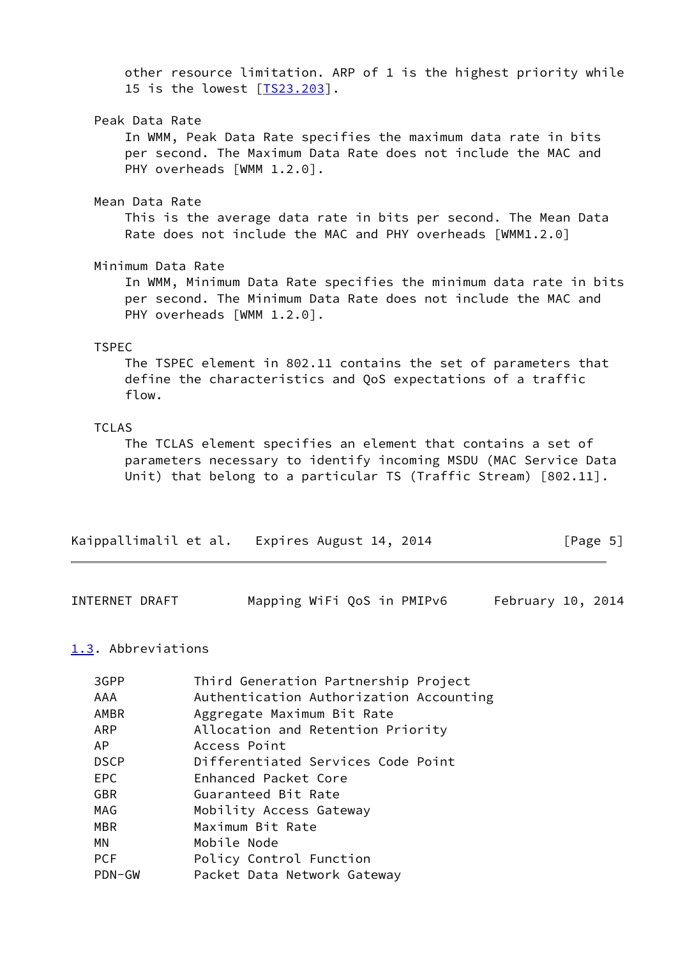other resource limitation. ARP of 1 is the highest priority while 15 is the lowest [\[TS23.203](#page-24-1)].

#### Peak Data Rate

 In WMM, Peak Data Rate specifies the maximum data rate in bits per second. The Maximum Data Rate does not include the MAC and PHY overheads [WMM 1.2.0].

#### Mean Data Rate

 This is the average data rate in bits per second. The Mean Data Rate does not include the MAC and PHY overheads [WMM1.2.0]

### Minimum Data Rate

 In WMM, Minimum Data Rate specifies the minimum data rate in bits per second. The Minimum Data Rate does not include the MAC and PHY overheads [WMM 1.2.0].

#### TSPEC

 The TSPEC element in 802.11 contains the set of parameters that define the characteristics and QoS expectations of a traffic flow.

#### TCLAS

 The TCLAS element specifies an element that contains a set of parameters necessary to identify incoming MSDU (MAC Service Data Unit) that belong to a particular TS (Traffic Stream) [802.11].

|  | Kaippallimalil et al. Expires August 14, 2014 | [Page 5] |
|--|-----------------------------------------------|----------|
|--|-----------------------------------------------|----------|

<span id="page-5-1"></span>

| INTERNET DRAFT | Mapping WiFi QoS in PMIPv6 |  | February 10, 2014 |  |
|----------------|----------------------------|--|-------------------|--|
|----------------|----------------------------|--|-------------------|--|

#### <span id="page-5-0"></span>[1.3](#page-5-0). Abbreviations

| 3GPP        | Third Generation Partnership Project    |
|-------------|-----------------------------------------|
| AAA         | Authentication Authorization Accounting |
| <b>AMBR</b> | Aggregate Maximum Bit Rate              |
| ARP         | Allocation and Retention Priority       |
| AP          | Access Point                            |
| <b>DSCP</b> | Differentiated Services Code Point      |
| EPC.        | Enhanced Packet Core                    |
| <b>GBR</b>  | Guaranteed Bit Rate                     |
| MAG         | Mobility Access Gateway                 |
| MBR         | Maximum Bit Rate                        |
| МN          | Mobile Node                             |
| <b>PCF</b>  | Policy Control Function                 |
| PDN-GW      | Packet Data Network Gateway             |
|             |                                         |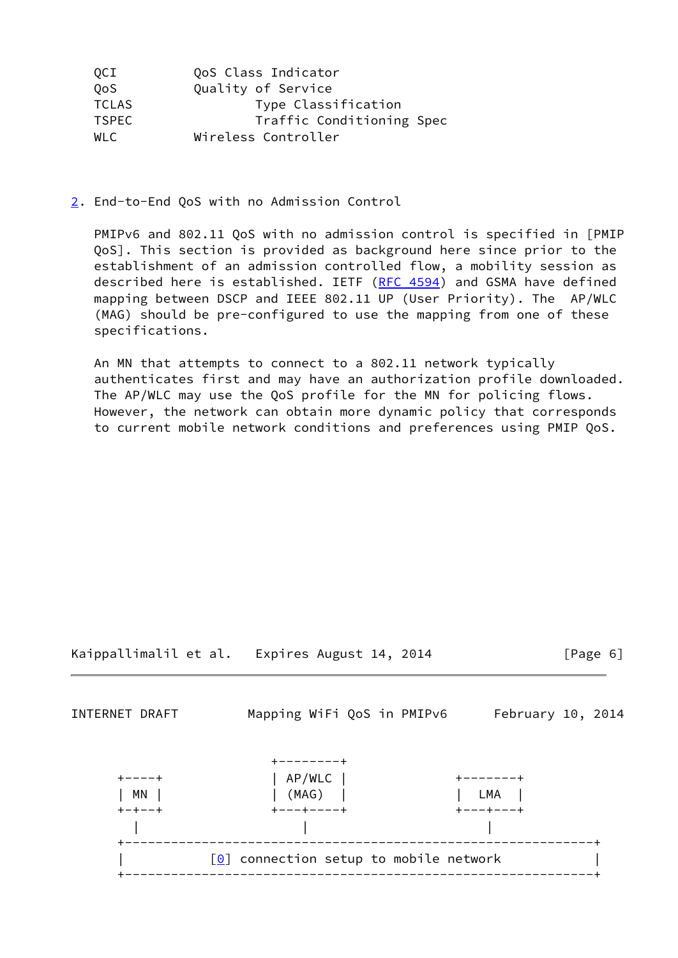| QCI          | QoS Class Indicator       |
|--------------|---------------------------|
| QoS          | Quality of Service        |
| <b>TCLAS</b> | Type Classification       |
| <b>TSPEC</b> | Traffic Conditioning Spec |
| <b>WLC</b>   | Wireless Controller       |

<span id="page-6-0"></span>[2](#page-6-0). End-to-End QoS with no Admission Control

 PMIPv6 and 802.11 QoS with no admission control is specified in [PMIP QoS]. This section is provided as background here since prior to the establishment of an admission controlled flow, a mobility session as described here is established. IETF [\(RFC 4594](https://datatracker.ietf.org/doc/pdf/rfc4594)) and GSMA have defined mapping between DSCP and IEEE 802.11 UP (User Priority). The AP/WLC (MAG) should be pre-configured to use the mapping from one of these specifications.

 An MN that attempts to connect to a 802.11 network typically authenticates first and may have an authorization profile downloaded. The AP/WLC may use the QoS profile for the MN for policing flows. However, the network can obtain more dynamic policy that corresponds to current mobile network conditions and preferences using PMIP QoS.



INTERNET DRAFT Mapping WiFi QoS in PMIPv6 February 10, 2014

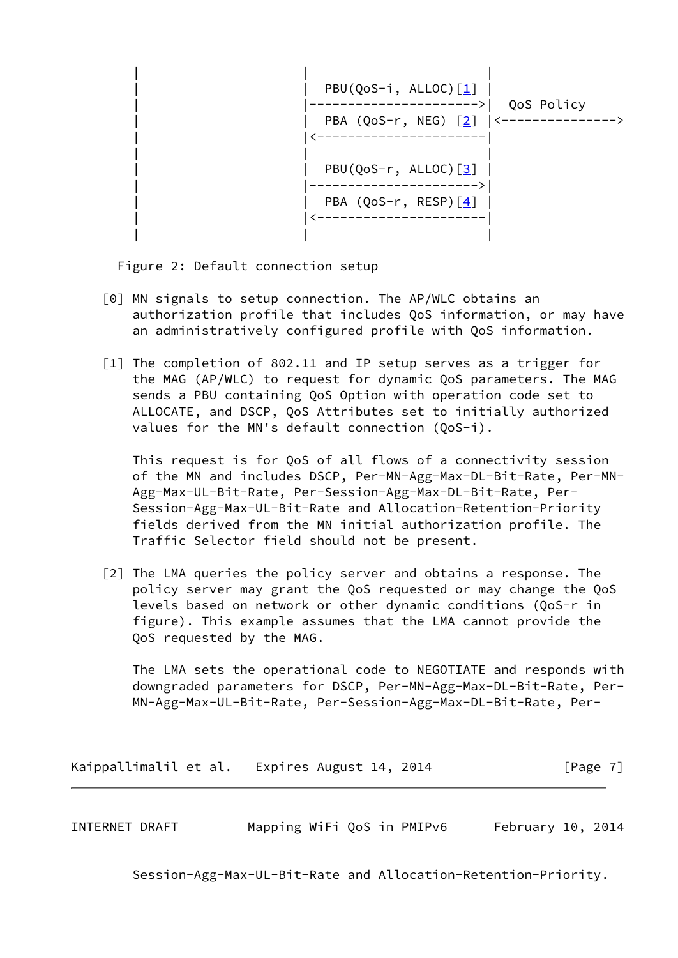

Figure 2: Default connection setup

- <span id="page-7-1"></span> [0] MN signals to setup connection. The AP/WLC obtains an authorization profile that includes QoS information, or may have an administratively configured profile with QoS information.
- <span id="page-7-2"></span>[1] The completion of 802.11 and IP setup serves as a trigger for the MAG (AP/WLC) to request for dynamic QoS parameters. The MAG sends a PBU containing QoS Option with operation code set to ALLOCATE, and DSCP, QoS Attributes set to initially authorized values for the MN's default connection (QoS-i).

 This request is for QoS of all flows of a connectivity session of the MN and includes DSCP, Per-MN-Agg-Max-DL-Bit-Rate, Per-MN- Agg-Max-UL-Bit-Rate, Per-Session-Agg-Max-DL-Bit-Rate, Per- Session-Agg-Max-UL-Bit-Rate and Allocation-Retention-Priority fields derived from the MN initial authorization profile. The Traffic Selector field should not be present.

<span id="page-7-3"></span>[2] The LMA queries the policy server and obtains a response. The policy server may grant the QoS requested or may change the QoS levels based on network or other dynamic conditions (QoS-r in figure). This example assumes that the LMA cannot provide the QoS requested by the MAG.

 The LMA sets the operational code to NEGOTIATE and responds with downgraded parameters for DSCP, Per-MN-Agg-Max-DL-Bit-Rate, Per- MN-Agg-Max-UL-Bit-Rate, Per-Session-Agg-Max-DL-Bit-Rate, Per-

Kaippallimalil et al. Expires August 14, 2014 [Page 7]

<span id="page-7-0"></span>INTERNET DRAFT Mapping WiFi QoS in PMIPv6 February 10, 2014

Session-Agg-Max-UL-Bit-Rate and Allocation-Retention-Priority.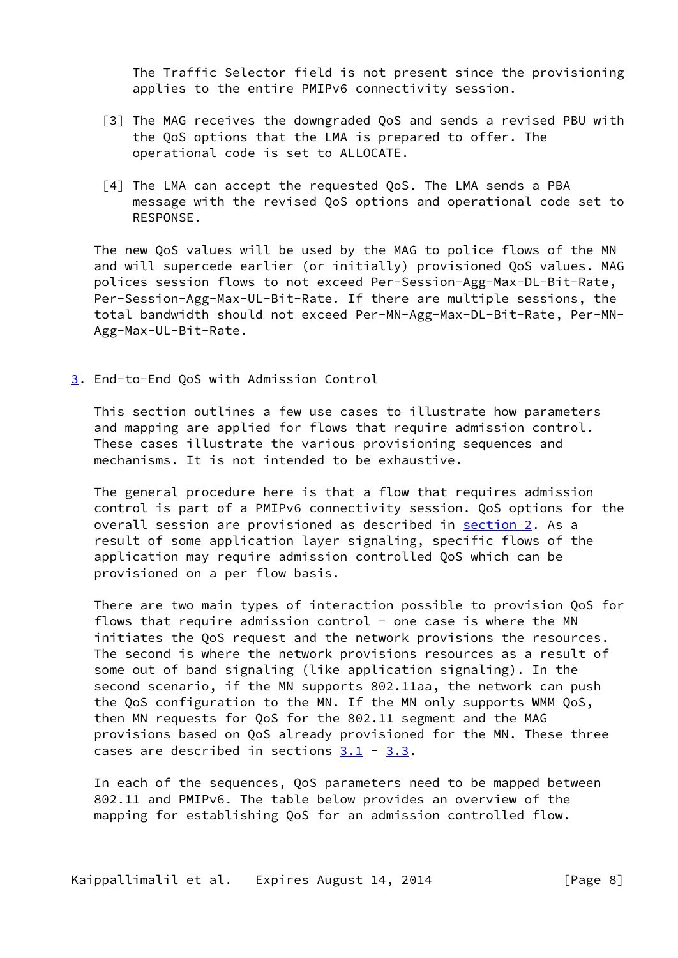The Traffic Selector field is not present since the provisioning applies to the entire PMIPv6 connectivity session.

- <span id="page-8-1"></span> [3] The MAG receives the downgraded QoS and sends a revised PBU with the QoS options that the LMA is prepared to offer. The operational code is set to ALLOCATE.
- <span id="page-8-2"></span>[4] The LMA can accept the requested QoS. The LMA sends a PBA message with the revised QoS options and operational code set to RESPONSE.

 The new QoS values will be used by the MAG to police flows of the MN and will supercede earlier (or initially) provisioned QoS values. MAG polices session flows to not exceed Per-Session-Agg-Max-DL-Bit-Rate, Per-Session-Agg-Max-UL-Bit-Rate. If there are multiple sessions, the total bandwidth should not exceed Per-MN-Agg-Max-DL-Bit-Rate, Per-MN- Agg-Max-UL-Bit-Rate.

<span id="page-8-0"></span>[3](#page-8-0). End-to-End QoS with Admission Control

 This section outlines a few use cases to illustrate how parameters and mapping are applied for flows that require admission control. These cases illustrate the various provisioning sequences and mechanisms. It is not intended to be exhaustive.

 The general procedure here is that a flow that requires admission control is part of a PMIPv6 connectivity session. QoS options for the overall session are provisioned as described in [section 2](#page-6-0). As a result of some application layer signaling, specific flows of the application may require admission controlled QoS which can be provisioned on a per flow basis.

 There are two main types of interaction possible to provision QoS for flows that require admission control - one case is where the MN initiates the QoS request and the network provisions the resources. The second is where the network provisions resources as a result of some out of band signaling (like application signaling). In the second scenario, if the MN supports 802.11aa, the network can push the QoS configuration to the MN. If the MN only supports WMM QoS, then MN requests for QoS for the 802.11 segment and the MAG provisions based on QoS already provisioned for the MN. These three cases are described in sections  $3.1 - 3.3$  $3.1 - 3.3$ .

 In each of the sequences, QoS parameters need to be mapped between 802.11 and PMIPv6. The table below provides an overview of the mapping for establishing QoS for an admission controlled flow.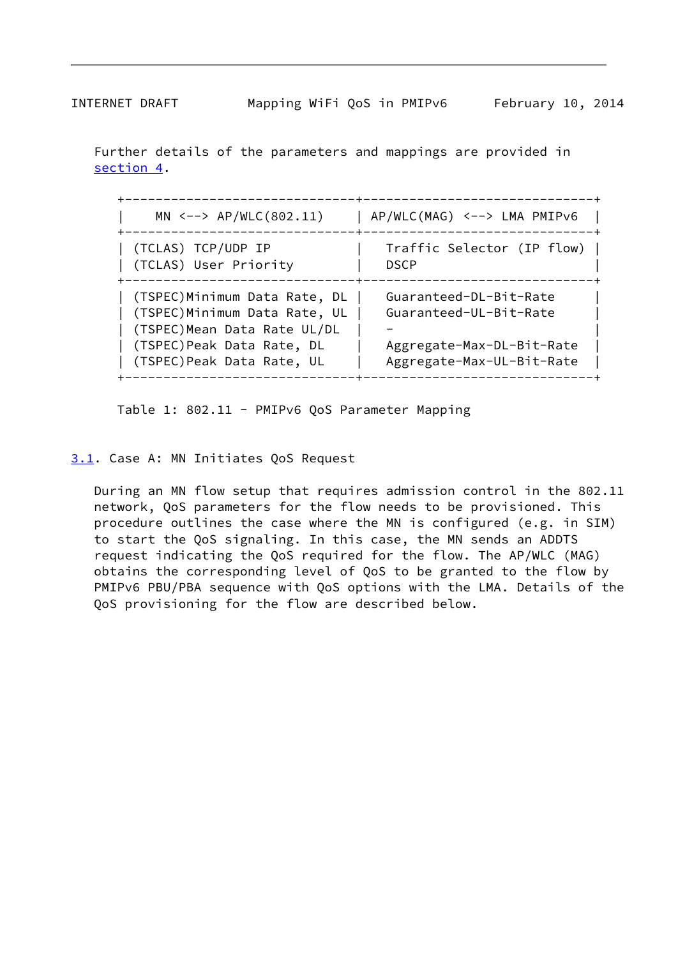<span id="page-9-1"></span>

 Further details of the parameters and mappings are provided in [section 4](#page-18-2).

| $MN \leftarrow-> AP/WLC(802.11)$                                                                                                                          | AP/WLC(MAG) <--> LMA PMIPv6                                                                                |
|-----------------------------------------------------------------------------------------------------------------------------------------------------------|------------------------------------------------------------------------------------------------------------|
| (TCLAS) TCP/UDP IP<br>(TCLAS) User Priority                                                                                                               | Traffic Selector (IP flow)<br><b>DSCP</b>                                                                  |
| (TSPEC)Minimum Data Rate, DL<br>(TSPEC) Minimum Data Rate, UL<br>(TSPEC) Mean Data Rate UL/DL<br>(TSPEC) Peak Data Rate, DL<br>(TSPEC) Peak Data Rate, UL | Guaranteed-DL-Bit-Rate<br>Guaranteed-UL-Bit-Rate<br>Aggregate-Max-DL-Bit-Rate<br>Aggregate-Max-UL-Bit-Rate |

Table 1: 802.11 - PMIPv6 QoS Parameter Mapping

<span id="page-9-0"></span>[3.1](#page-9-0). Case A: MN Initiates QoS Request

 During an MN flow setup that requires admission control in the 802.11 network, QoS parameters for the flow needs to be provisioned. This procedure outlines the case where the MN is configured (e.g. in SIM) to start the QoS signaling. In this case, the MN sends an ADDTS request indicating the QoS required for the flow. The AP/WLC (MAG) obtains the corresponding level of QoS to be granted to the flow by PMIPv6 PBU/PBA sequence with QoS options with the LMA. Details of the QoS provisioning for the flow are described below.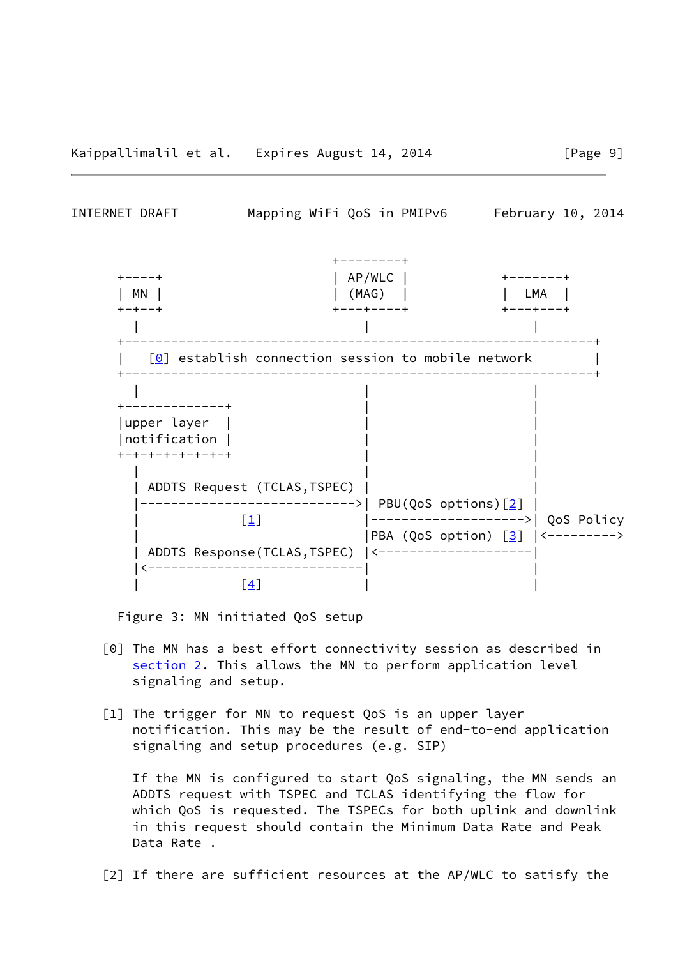INTERNET DRAFT Mapping WiFi QoS in PMIPv6 February 10, 2014



Figure 3: MN initiated QoS setup

- [0] The MN has a best effort connectivity session as described in [section 2](#page-6-0). This allows the MN to perform application level signaling and setup.
- [1] The trigger for MN to request QoS is an upper layer notification. This may be the result of end-to-end application signaling and setup procedures (e.g. SIP)

 If the MN is configured to start QoS signaling, the MN sends an ADDTS request with TSPEC and TCLAS identifying the flow for which QoS is requested. The TSPECs for both uplink and downlink in this request should contain the Minimum Data Rate and Peak Data Rate .

[2] If there are sufficient resources at the AP/WLC to satisfy the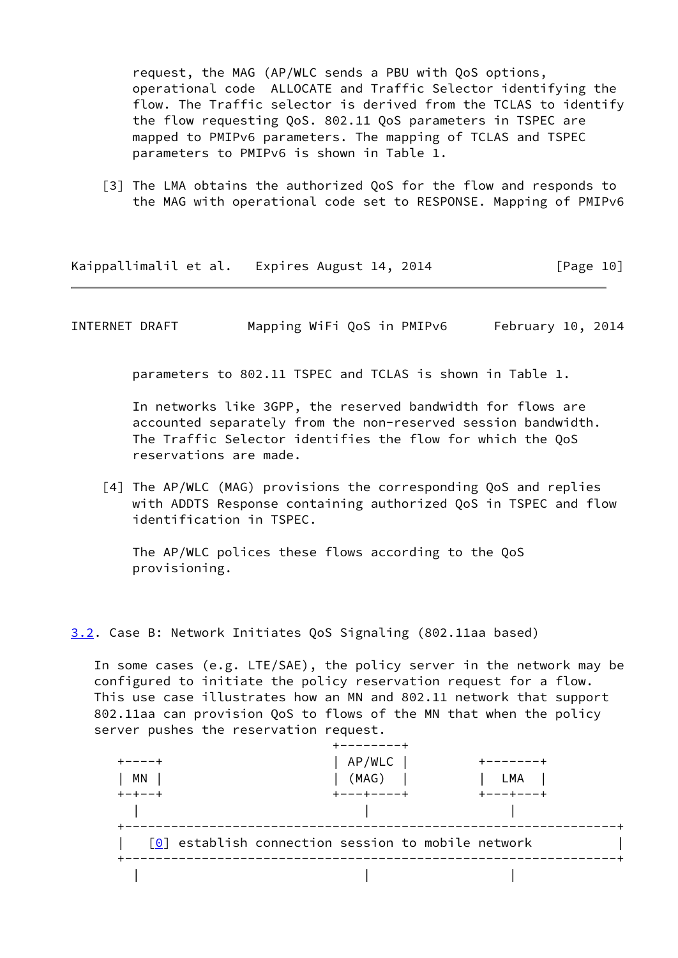request, the MAG (AP/WLC sends a PBU with QoS options, operational code ALLOCATE and Traffic Selector identifying the flow. The Traffic selector is derived from the TCLAS to identify the flow requesting QoS. 802.11 QoS parameters in TSPEC are mapped to PMIPv6 parameters. The mapping of TCLAS and TSPEC parameters to PMIPv6 is shown in Table 1.

[3] The LMA obtains the authorized QoS for the flow and responds to the MAG with operational code set to RESPONSE. Mapping of PMIPv6

Kaippallimalil et al. Expires August 14, 2014 [Page 10]

INTERNET DRAFT Mapping WiFi QoS in PMIPv6 February 10, 2014

parameters to 802.11 TSPEC and TCLAS is shown in Table 1.

 In networks like 3GPP, the reserved bandwidth for flows are accounted separately from the non-reserved session bandwidth. The Traffic Selector identifies the flow for which the QoS reservations are made.

 [4] The AP/WLC (MAG) provisions the corresponding QoS and replies with ADDTS Response containing authorized QoS in TSPEC and flow identification in TSPEC.

 The AP/WLC polices these flows according to the QoS provisioning.

<span id="page-11-0"></span>[3.2](#page-11-0). Case B: Network Initiates QoS Signaling (802.11aa based)

 In some cases (e.g. LTE/SAE), the policy server in the network may be configured to initiate the policy reservation request for a flow. This use case illustrates how an MN and 802.11 network that support 802.11aa can provision QoS to flows of the MN that when the policy server pushes the reservation request.

|          | AP/WLC                                               | . - - - - - |
|----------|------------------------------------------------------|-------------|
| ΜN       | (MAG)                                                | LMA         |
| $+-+--+$ | $--++----++$                                         | ---+---+    |
|          |                                                      |             |
|          | $[0]$ establish connection session to mobile network |             |
|          |                                                      |             |
|          |                                                      |             |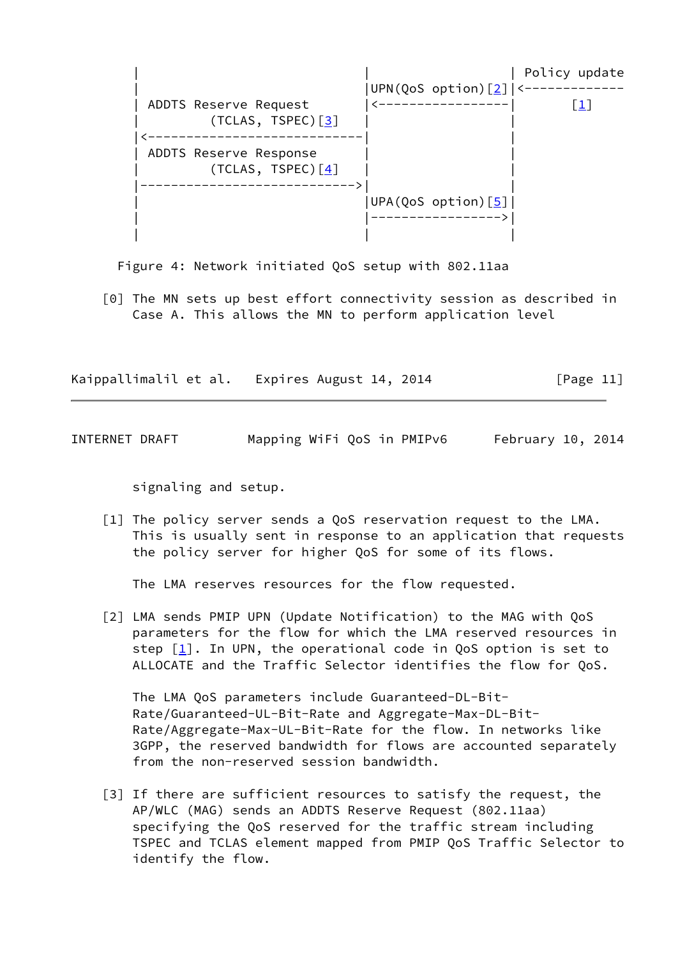

Figure 4: Network initiated QoS setup with 802.11aa

 [0] The MN sets up best effort connectivity session as described in Case A. This allows the MN to perform application level

Kaippallimalil et al. Expires August 14, 2014 [Page 11]

<span id="page-12-0"></span>INTERNET DRAFT Mapping WiFi QoS in PMIPv6 February 10, 2014

signaling and setup.

 [1] The policy server sends a QoS reservation request to the LMA. This is usually sent in response to an application that requests the policy server for higher QoS for some of its flows.

The LMA reserves resources for the flow requested.

 [2] LMA sends PMIP UPN (Update Notification) to the MAG with QoS parameters for the flow for which the LMA reserved resources in step  $\lceil \frac{1}{2} \rceil$ . In UPN, the operational code in QoS option is set to ALLOCATE and the Traffic Selector identifies the flow for QoS.

 The LMA QoS parameters include Guaranteed-DL-Bit- Rate/Guaranteed-UL-Bit-Rate and Aggregate-Max-DL-Bit- Rate/Aggregate-Max-UL-Bit-Rate for the flow. In networks like 3GPP, the reserved bandwidth for flows are accounted separately from the non-reserved session bandwidth.

[3] If there are sufficient resources to satisfy the request, the AP/WLC (MAG) sends an ADDTS Reserve Request (802.11aa) specifying the QoS reserved for the traffic stream including TSPEC and TCLAS element mapped from PMIP QoS Traffic Selector to identify the flow.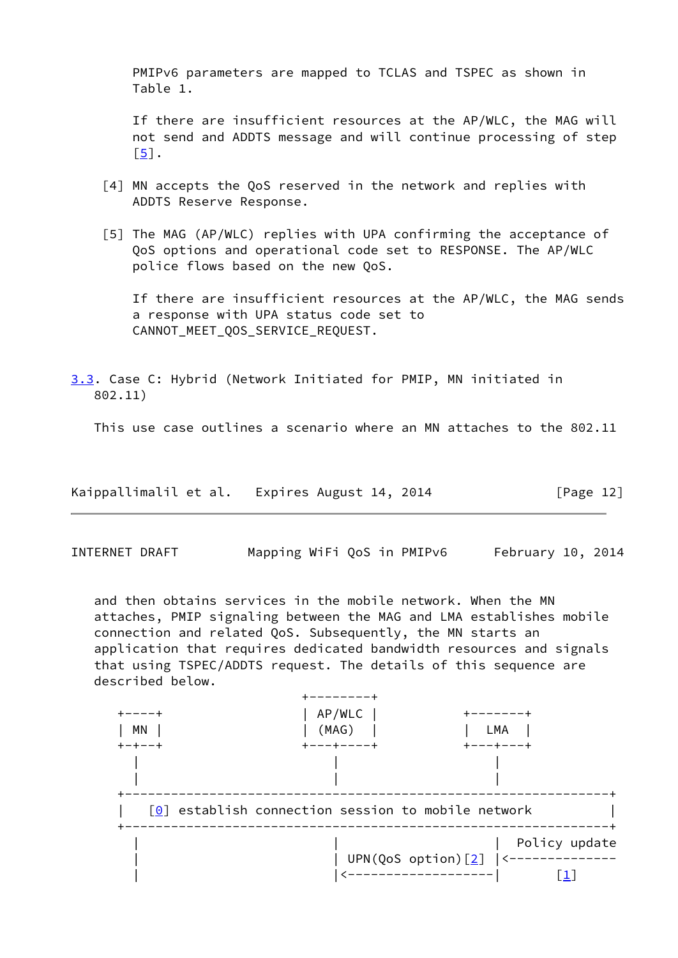PMIPv6 parameters are mapped to TCLAS and TSPEC as shown in Table 1.

 If there are insufficient resources at the AP/WLC, the MAG will not send and ADDTS message and will continue processing of step [\[5\]](#page-13-1).

- [4] MN accepts the QoS reserved in the network and replies with ADDTS Reserve Response.
- <span id="page-13-1"></span> [5] The MAG (AP/WLC) replies with UPA confirming the acceptance of QoS options and operational code set to RESPONSE. The AP/WLC police flows based on the new QoS.

 If there are insufficient resources at the AP/WLC, the MAG sends a response with UPA status code set to CANNOT\_MEET\_QOS\_SERVICE\_REQUEST.

<span id="page-13-0"></span>[3.3](#page-13-0). Case C: Hybrid (Network Initiated for PMIP, MN initiated in 802.11)

This use case outlines a scenario where an MN attaches to the 802.11

| Kaippallimalil et al. | Expires August 14, 2014 | [Page 12] |
|-----------------------|-------------------------|-----------|
|-----------------------|-------------------------|-----------|

INTERNET DRAFT Mapping WiFi QoS in PMIPv6 February 10, 2014

 and then obtains services in the mobile network. When the MN attaches, PMIP signaling between the MAG and LMA establishes mobile connection and related QoS. Subsequently, the MN starts an application that requires dedicated bandwidth resources and signals that using TSPEC/ADDTS request. The details of this sequence are described below.

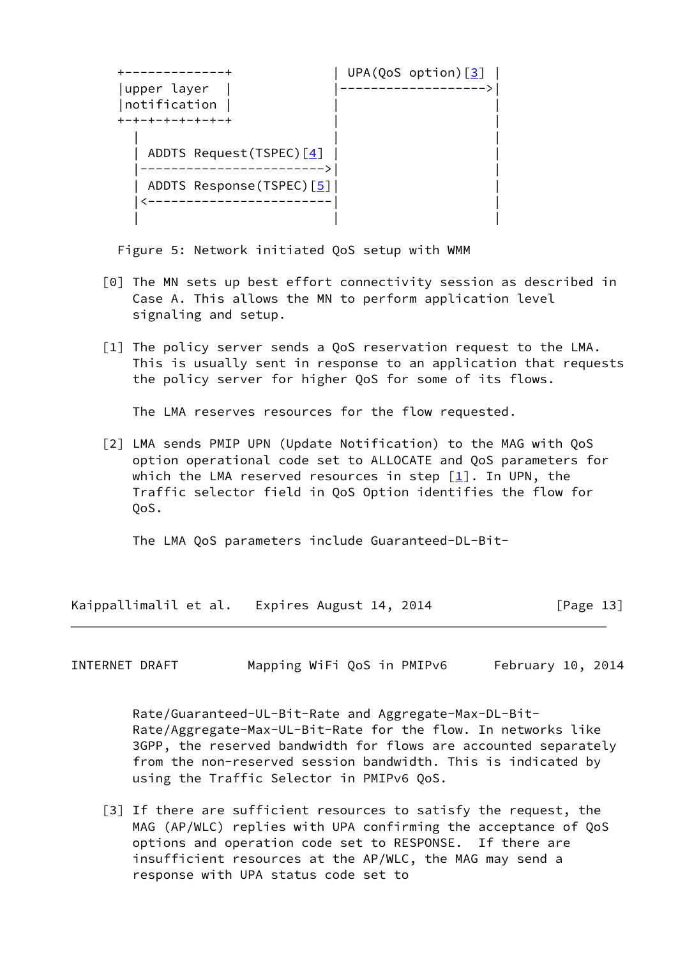|                          | UPA(QoS option) $\boxed{3}$ |
|--------------------------|-----------------------------|
| upper layer              |                             |
| notification             |                             |
| +-+-+-+-+-+-+-+          |                             |
| ADDTS Request(TSPEC) [4] |                             |
| ADDTS Response(TSPEC)[5] |                             |
|                          |                             |
|                          |                             |

Figure 5: Network initiated QoS setup with WMM

- [0] The MN sets up best effort connectivity session as described in Case A. This allows the MN to perform application level signaling and setup.
- [1] The policy server sends a QoS reservation request to the LMA. This is usually sent in response to an application that requests the policy server for higher QoS for some of its flows.

The LMA reserves resources for the flow requested.

 [2] LMA sends PMIP UPN (Update Notification) to the MAG with QoS option operational code set to ALLOCATE and QoS parameters for which the LMA reserved resources in step  $[1]$  $[1]$ . In UPN, the Traffic selector field in QoS Option identifies the flow for QoS.

The LMA QoS parameters include Guaranteed-DL-Bit-

Kaippallimalil et al. Expires August 14, 2014 [Page 13]

<span id="page-14-0"></span>INTERNET DRAFT Mapping WiFi QoS in PMIPv6 February 10, 2014

 Rate/Guaranteed-UL-Bit-Rate and Aggregate-Max-DL-Bit- Rate/Aggregate-Max-UL-Bit-Rate for the flow. In networks like 3GPP, the reserved bandwidth for flows are accounted separately from the non-reserved session bandwidth. This is indicated by using the Traffic Selector in PMIPv6 QoS.

[3] If there are sufficient resources to satisfy the request, the MAG (AP/WLC) replies with UPA confirming the acceptance of QoS options and operation code set to RESPONSE. If there are insufficient resources at the AP/WLC, the MAG may send a response with UPA status code set to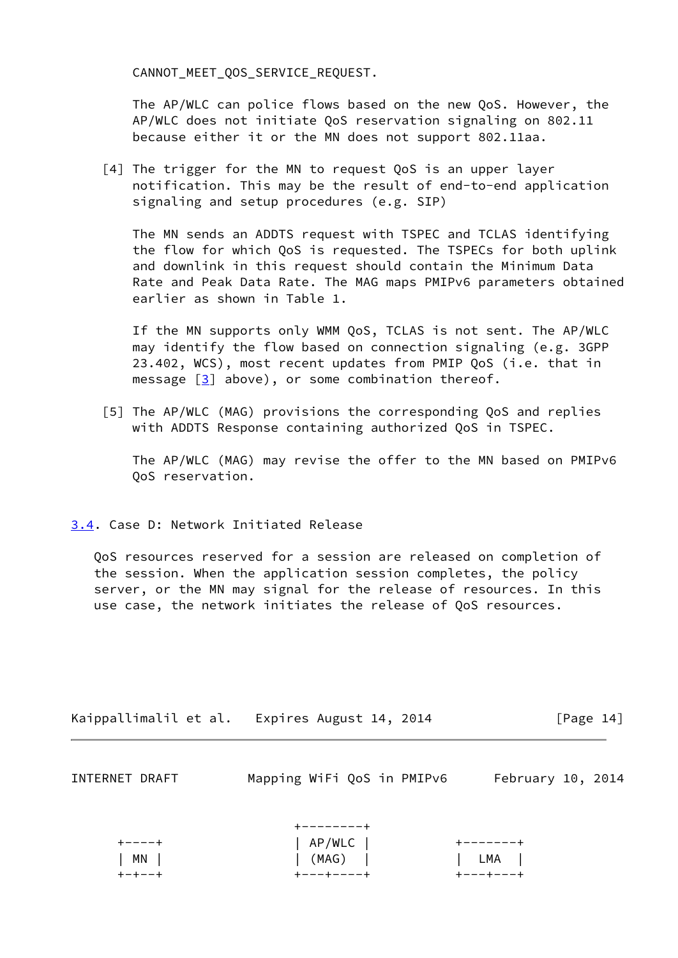CANNOT MEET OOS SERVICE REQUEST.

 The AP/WLC can police flows based on the new QoS. However, the AP/WLC does not initiate QoS reservation signaling on 802.11 because either it or the MN does not support 802.11aa.

 [4] The trigger for the MN to request QoS is an upper layer notification. This may be the result of end-to-end application signaling and setup procedures (e.g. SIP)

 The MN sends an ADDTS request with TSPEC and TCLAS identifying the flow for which QoS is requested. The TSPECs for both uplink and downlink in this request should contain the Minimum Data Rate and Peak Data Rate. The MAG maps PMIPv6 parameters obtained earlier as shown in Table 1.

 If the MN supports only WMM QoS, TCLAS is not sent. The AP/WLC may identify the flow based on connection signaling (e.g. 3GPP 23.402, WCS), most recent updates from PMIP QoS (i.e. that in message  $\lceil 3 \rceil$  above), or some combination thereof.

 [5] The AP/WLC (MAG) provisions the corresponding QoS and replies with ADDTS Response containing authorized QoS in TSPEC.

 The AP/WLC (MAG) may revise the offer to the MN based on PMIPv6 QoS reservation.

<span id="page-15-0"></span>[3.4](#page-15-0). Case D: Network Initiated Release

 QoS resources reserved for a session are released on completion of the session. When the application session completes, the policy server, or the MN may signal for the release of resources. In this use case, the network initiates the release of QoS resources.

| Kaippallimalil et al. | Expires August 14, 2014 | [Page 14] |
|-----------------------|-------------------------|-----------|
|-----------------------|-------------------------|-----------|

| INTERNET DRAFT |  | Mapping WiFi QoS in PMIPv6 | February 10, 2014 |  |
|----------------|--|----------------------------|-------------------|--|
|----------------|--|----------------------------|-------------------|--|

|            | +--------+            |                  |
|------------|-----------------------|------------------|
| キーーーーキ     | $ $ AP/WLC $ $        | +-------+        |
| $ $ MN $ $ | $\vert$ (MAG) $\vert$ | LMA              |
| キーキーーキ     | +---+----+            | <b>+---+---+</b> |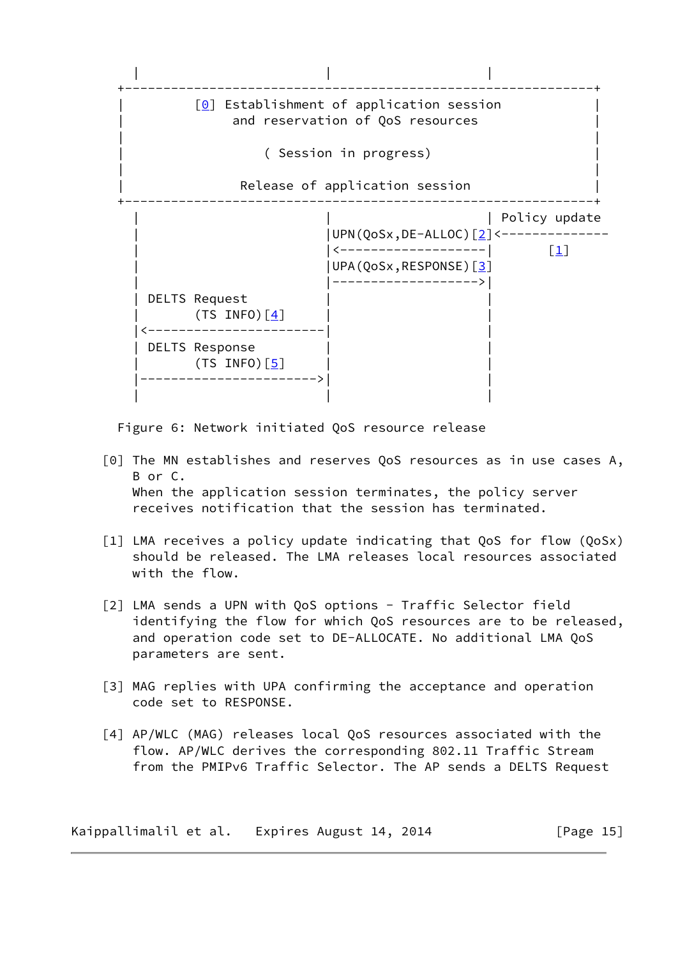

Figure 6: Network initiated QoS resource release

- [0] The MN establishes and reserves QoS resources as in use cases A, B or C. When the application session terminates, the policy server receives notification that the session has terminated.
- [1] LMA receives a policy update indicating that QoS for flow (QoSx) should be released. The LMA releases local resources associated with the flow.
- [2] LMA sends a UPN with QoS options Traffic Selector field identifying the flow for which QoS resources are to be released, and operation code set to DE-ALLOCATE. No additional LMA QoS parameters are sent.
- [3] MAG replies with UPA confirming the acceptance and operation code set to RESPONSE.
- [4] AP/WLC (MAG) releases local QoS resources associated with the flow. AP/WLC derives the corresponding 802.11 Traffic Stream from the PMIPv6 Traffic Selector. The AP sends a DELTS Request

Kaippallimalil et al. Expires August 14, 2014 [Page 15]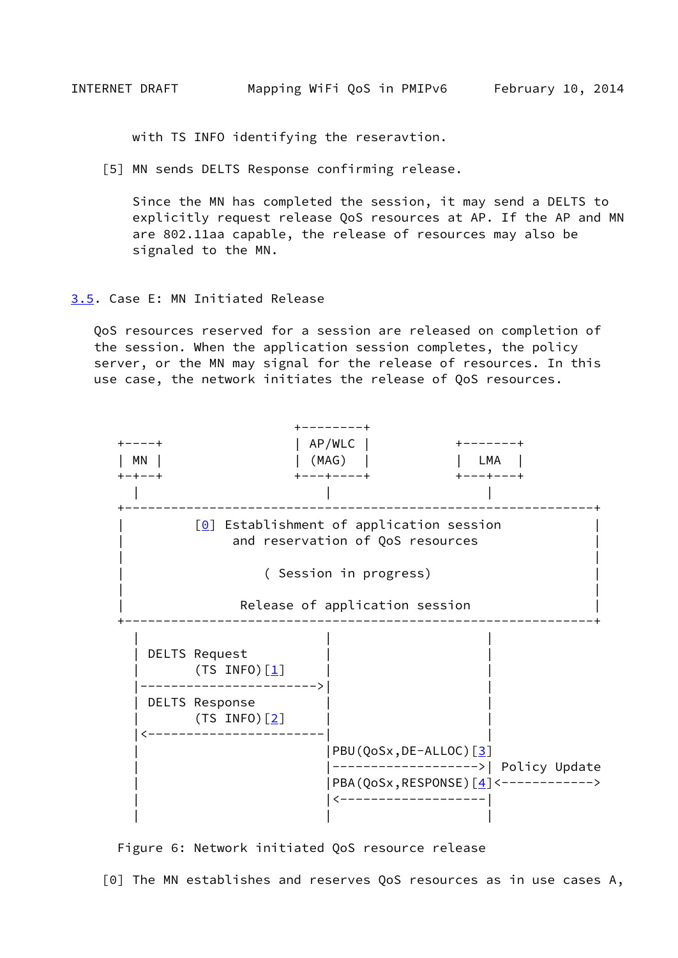<span id="page-17-1"></span>with TS INFO identifying the reseravtion.

[5] MN sends DELTS Response confirming release.

 Since the MN has completed the session, it may send a DELTS to explicitly request release QoS resources at AP. If the AP and MN are 802.11aa capable, the release of resources may also be signaled to the MN.

#### <span id="page-17-0"></span>[3.5](#page-17-0). Case E: MN Initiated Release

 QoS resources reserved for a session are released on completion of the session. When the application session completes, the policy server, or the MN may signal for the release of resources. In this use case, the network initiates the release of QoS resources.



Figure 6: Network initiated QoS resource release

[0] The MN establishes and reserves QoS resources as in use cases A,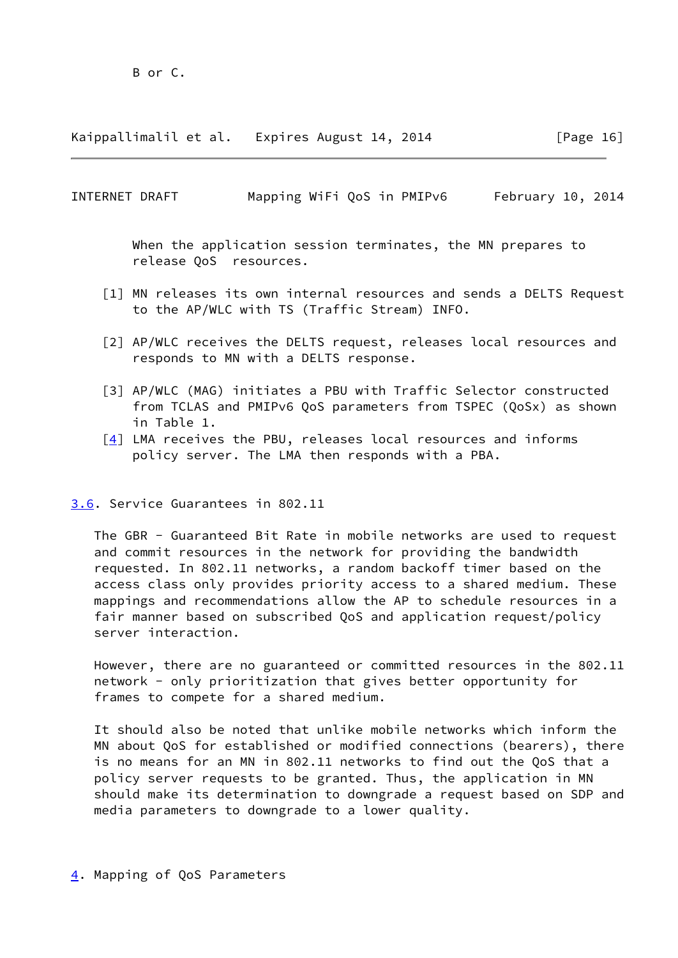Kaippallimalil et al. Expires August 14, 2014 [Page 16]

<span id="page-18-1"></span>INTERNET DRAFT Mapping WiFi QoS in PMIPv6 February 10, 2014

 When the application session terminates, the MN prepares to release QoS resources.

- [1] MN releases its own internal resources and sends a DELTS Request to the AP/WLC with TS (Traffic Stream) INFO.
- [2] AP/WLC receives the DELTS request, releases local resources and responds to MN with a DELTS response.
- [3] AP/WLC (MAG) initiates a PBU with Traffic Selector constructed from TCLAS and PMIPv6 QoS parameters from TSPEC (QoSx) as shown in Table 1.
- $\lceil 4 \rceil$  LMA receives the PBU, releases local resources and informs policy server. The LMA then responds with a PBA.

<span id="page-18-0"></span>[3.6](#page-18-0). Service Guarantees in 802.11

 The GBR - Guaranteed Bit Rate in mobile networks are used to request and commit resources in the network for providing the bandwidth requested. In 802.11 networks, a random backoff timer based on the access class only provides priority access to a shared medium. These mappings and recommendations allow the AP to schedule resources in a fair manner based on subscribed QoS and application request/policy server interaction.

 However, there are no guaranteed or committed resources in the 802.11 network - only prioritization that gives better opportunity for frames to compete for a shared medium.

 It should also be noted that unlike mobile networks which inform the MN about QoS for established or modified connections (bearers), there is no means for an MN in 802.11 networks to find out the QoS that a policy server requests to be granted. Thus, the application in MN should make its determination to downgrade a request based on SDP and media parameters to downgrade to a lower quality.

<span id="page-18-2"></span>[4](#page-18-2). Mapping of QoS Parameters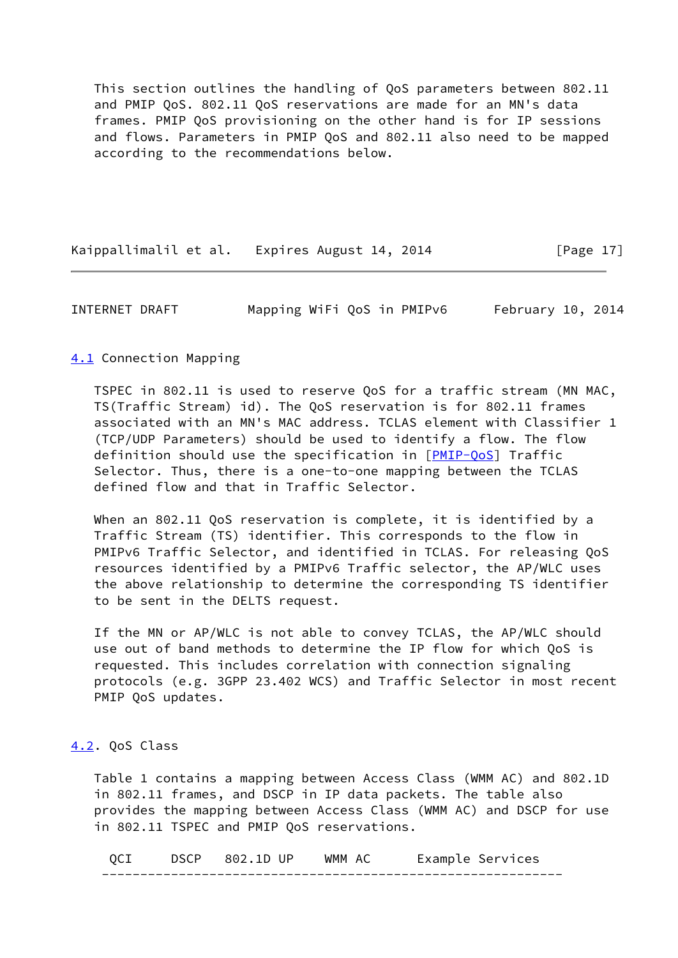This section outlines the handling of QoS parameters between 802.11 and PMIP QoS. 802.11 QoS reservations are made for an MN's data frames. PMIP QoS provisioning on the other hand is for IP sessions and flows. Parameters in PMIP QoS and 802.11 also need to be mapped according to the recommendations below.

Kaippallimalil et al. Expires August 14, 2014 [Page 17]

<span id="page-19-1"></span>INTERNET DRAFT Mapping WiFi QoS in PMIPv6 February 10, 2014

#### <span id="page-19-0"></span>[4.1](#page-19-0) Connection Mapping

 TSPEC in 802.11 is used to reserve QoS for a traffic stream (MN MAC, TS(Traffic Stream) id). The QoS reservation is for 802.11 frames associated with an MN's MAC address. TCLAS element with Classifier 1 (TCP/UDP Parameters) should be used to identify a flow. The flow definition should use the specification in [[PMIP-QoS\]](#page-2-2) Traffic Selector. Thus, there is a one-to-one mapping between the TCLAS defined flow and that in Traffic Selector.

 When an 802.11 QoS reservation is complete, it is identified by a Traffic Stream (TS) identifier. This corresponds to the flow in PMIPv6 Traffic Selector, and identified in TCLAS. For releasing QoS resources identified by a PMIPv6 Traffic selector, the AP/WLC uses the above relationship to determine the corresponding TS identifier to be sent in the DELTS request.

 If the MN or AP/WLC is not able to convey TCLAS, the AP/WLC should use out of band methods to determine the IP flow for which QoS is requested. This includes correlation with connection signaling protocols (e.g. 3GPP 23.402 WCS) and Traffic Selector in most recent PMIP QoS updates.

## <span id="page-19-2"></span>[4.2](#page-19-2). QoS Class

 Table 1 contains a mapping between Access Class (WMM AC) and 802.1D in 802.11 frames, and DSCP in IP data packets. The table also provides the mapping between Access Class (WMM AC) and DSCP for use in 802.11 TSPEC and PMIP QoS reservations.

 QCI DSCP 802.1D UP WMM AC Example Services ------------------------------------------------------------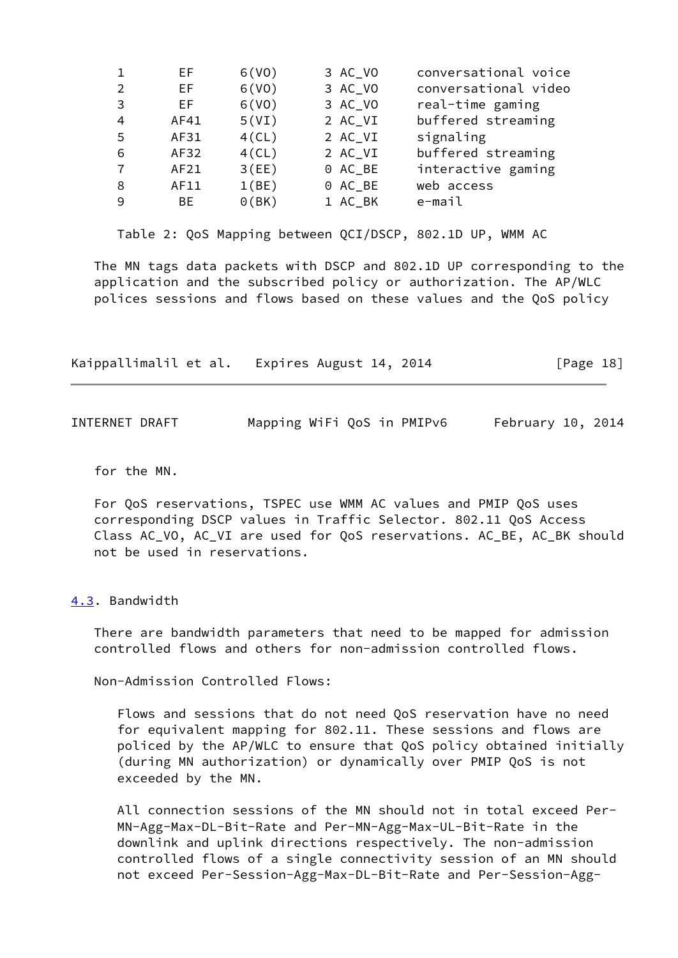|                | EF.  | 6(V0)    | 3 AC_VO | conversational voice |
|----------------|------|----------|---------|----------------------|
| $\mathfrak{D}$ | EF.  | 6(V0)    | 3 AC_VO | conversational video |
| 3              | EF.  | 6(V0)    | 3 AC_VO | real-time gaming     |
| 4              | AF41 | 5(VI)    | 2 AC_VI | buffered streaming   |
| 5              | AF31 | $4$ (CL) | 2 AC_VI | signaling            |
| 6              | AF32 | $4$ (CL) | 2 AC_VI | buffered streaming   |
|                | AF21 | 3(EE)    | 0 AC_BE | interactive gaming   |
| 8              | AF11 | 1(BE)    | 0 AC_BE | web access           |
| 9              | BE.  | 0(BK)    | 1 AC_BK | e-mail               |

Table 2: QoS Mapping between QCI/DSCP, 802.1D UP, WMM AC

 The MN tags data packets with DSCP and 802.1D UP corresponding to the application and the subscribed policy or authorization. The AP/WLC polices sessions and flows based on these values and the QoS policy

|  | Kaippallimalil et al. Expires August 14, 2014 | [Page 18] |
|--|-----------------------------------------------|-----------|
|--|-----------------------------------------------|-----------|

<span id="page-20-1"></span>

| INTERNET DRAFT |  | Mapping WiFi QoS in PMIPv6 | February $10, 2014$ |
|----------------|--|----------------------------|---------------------|
|----------------|--|----------------------------|---------------------|

for the MN.

 For QoS reservations, TSPEC use WMM AC values and PMIP QoS uses corresponding DSCP values in Traffic Selector. 802.11 QoS Access Class AC\_VO, AC\_VI are used for QoS reservations. AC\_BE, AC\_BK should not be used in reservations.

#### <span id="page-20-0"></span>[4.3](#page-20-0). Bandwidth

 There are bandwidth parameters that need to be mapped for admission controlled flows and others for non-admission controlled flows.

Non-Admission Controlled Flows:

 Flows and sessions that do not need QoS reservation have no need for equivalent mapping for 802.11. These sessions and flows are policed by the AP/WLC to ensure that QoS policy obtained initially (during MN authorization) or dynamically over PMIP QoS is not exceeded by the MN.

 All connection sessions of the MN should not in total exceed Per- MN-Agg-Max-DL-Bit-Rate and Per-MN-Agg-Max-UL-Bit-Rate in the downlink and uplink directions respectively. The non-admission controlled flows of a single connectivity session of an MN should not exceed Per-Session-Agg-Max-DL-Bit-Rate and Per-Session-Agg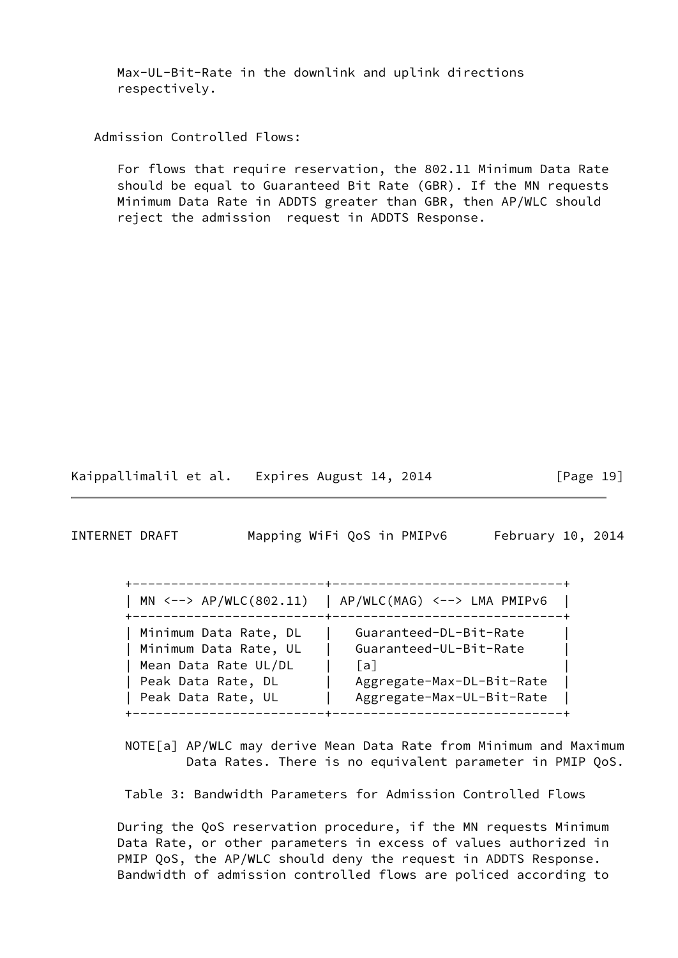Max-UL-Bit-Rate in the downlink and uplink directions respectively.

Admission Controlled Flows:

 For flows that require reservation, the 802.11 Minimum Data Rate should be equal to Guaranteed Bit Rate (GBR). If the MN requests Minimum Data Rate in ADDTS greater than GBR, then AP/WLC should reject the admission request in ADDTS Response.

Kaippallimalil et al. Expires August 14, 2014 [Page 19]

<span id="page-21-0"></span>INTERNET DRAFT Mapping WiFi QoS in PMIPv6 February 10, 2014

| AP/WLC(MAG) <--> LMA PMIPv6<br>MN $\leftarrow-> AP/WLC(802.11)$                                                    |
|--------------------------------------------------------------------------------------------------------------------|
| Minimum Data Rate, DL<br>Minimum Data Rate, UL<br>Mean Data Rate UL/DL<br>Peak Data Rate, DL<br>Peak Data Rate, UL |

 NOTE[a] AP/WLC may derive Mean Data Rate from Minimum and Maximum Data Rates. There is no equivalent parameter in PMIP QoS.

Table 3: Bandwidth Parameters for Admission Controlled Flows

 During the QoS reservation procedure, if the MN requests Minimum Data Rate, or other parameters in excess of values authorized in PMIP QoS, the AP/WLC should deny the request in ADDTS Response. Bandwidth of admission controlled flows are policed according to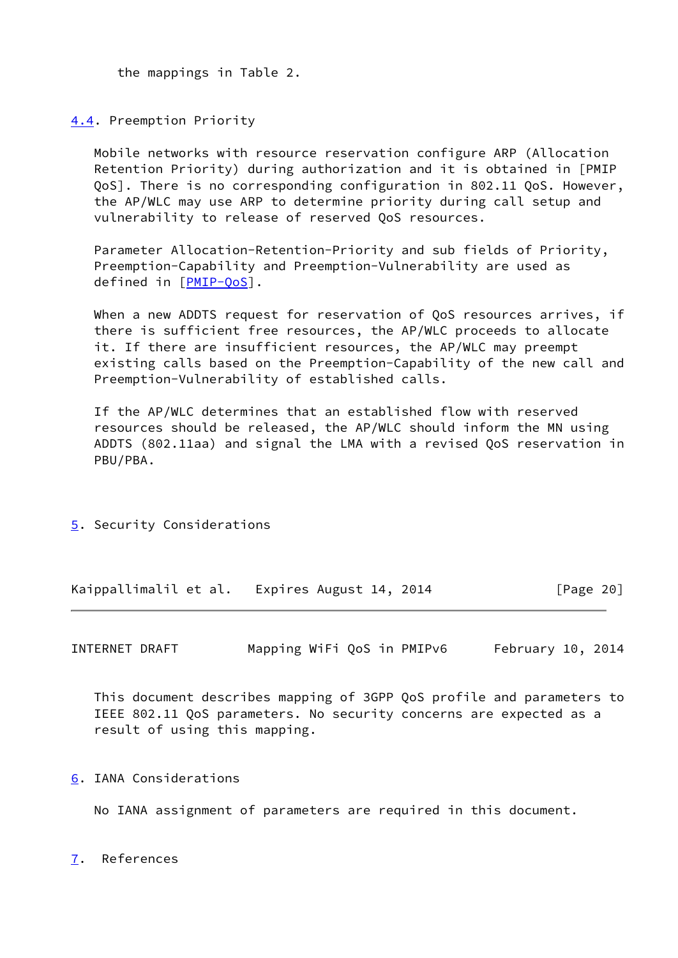the mappings in Table 2.

<span id="page-22-0"></span>[4.4](#page-22-0). Preemption Priority

 Mobile networks with resource reservation configure ARP (Allocation Retention Priority) during authorization and it is obtained in [PMIP QoS]. There is no corresponding configuration in 802.11 QoS. However, the AP/WLC may use ARP to determine priority during call setup and vulnerability to release of reserved QoS resources.

 Parameter Allocation-Retention-Priority and sub fields of Priority, Preemption-Capability and Preemption-Vulnerability are used as defined in [[PMIP-QoS\]](#page-2-2).

 When a new ADDTS request for reservation of QoS resources arrives, if there is sufficient free resources, the AP/WLC proceeds to allocate it. If there are insufficient resources, the AP/WLC may preempt existing calls based on the Preemption-Capability of the new call and Preemption-Vulnerability of established calls.

 If the AP/WLC determines that an established flow with reserved resources should be released, the AP/WLC should inform the MN using ADDTS (802.11aa) and signal the LMA with a revised QoS reservation in PBU/PBA.

<span id="page-22-1"></span>[5](#page-22-1). Security Considerations

Kaippallimalil et al. Expires August 14, 2014 [Page 20]

<span id="page-22-3"></span>INTERNET DRAFT Mapping WiFi QoS in PMIPv6 February 10, 2014

 This document describes mapping of 3GPP QoS profile and parameters to IEEE 802.11 QoS parameters. No security concerns are expected as a result of using this mapping.

<span id="page-22-2"></span>[6](#page-22-2). IANA Considerations

No IANA assignment of parameters are required in this document.

<span id="page-22-4"></span>[7](#page-22-4). References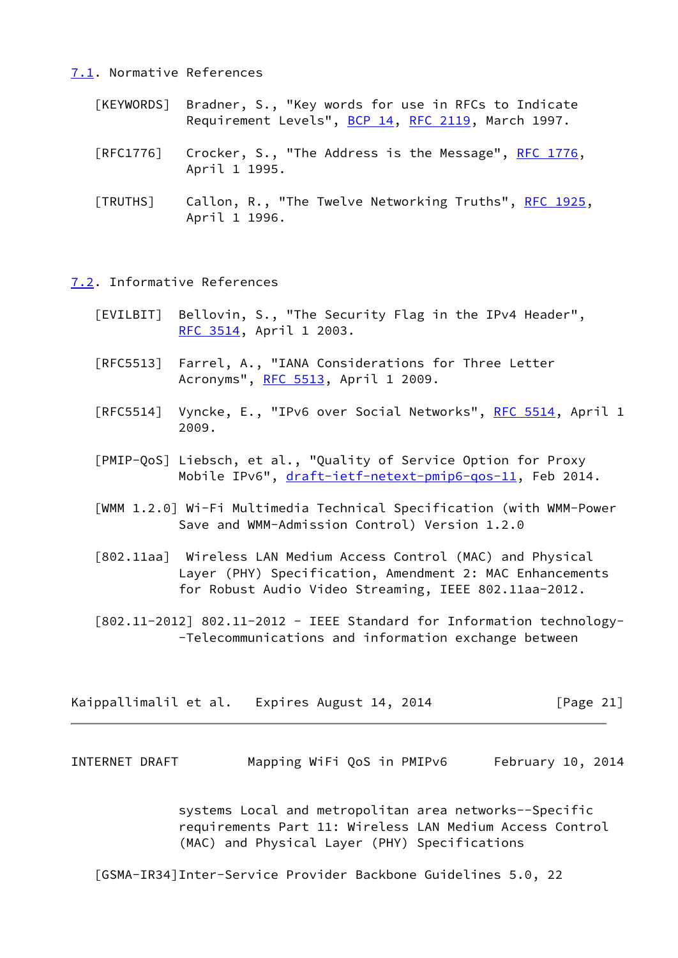#### <span id="page-23-0"></span>[7.1](#page-23-0). Normative References

- [KEYWORDS] Bradner, S., "Key words for use in RFCs to Indicate Requirement Levels", [BCP 14](https://datatracker.ietf.org/doc/pdf/bcp14), [RFC 2119](https://datatracker.ietf.org/doc/pdf/rfc2119), March 1997.
- [RFC1776] Crocker, S., "The Address is the Message", [RFC 1776,](https://datatracker.ietf.org/doc/pdf/rfc1776) April 1 1995.
- [TRUTHS] Callon, R., "The Twelve Networking Truths", [RFC 1925](https://datatracker.ietf.org/doc/pdf/rfc1925), April 1 1996.

<span id="page-23-1"></span>[7.2](#page-23-1). Informative References

- [EVILBIT] Bellovin, S., "The Security Flag in the IPv4 Header", [RFC 3514,](https://datatracker.ietf.org/doc/pdf/rfc3514) April 1 2003.
- [RFC5513] Farrel, A., "IANA Considerations for Three Letter Acronyms", [RFC 5513](https://datatracker.ietf.org/doc/pdf/rfc5513), April 1 2009.
- [RFC5514] Vyncke, E., "IPv6 over Social Networks", [RFC 5514,](https://datatracker.ietf.org/doc/pdf/rfc5514) April 1 2009.
- [PMIP-QoS] Liebsch, et al., "Quality of Service Option for Proxy Mobile IPv6", [draft-ietf-netext-pmip6-qos-11](https://datatracker.ietf.org/doc/pdf/draft-ietf-netext-pmip6-qos-11), Feb 2014.
- [WMM 1.2.0] Wi-Fi Multimedia Technical Specification (with WMM-Power Save and WMM-Admission Control) Version 1.2.0
- [802.11aa] Wireless LAN Medium Access Control (MAC) and Physical Layer (PHY) Specification, Amendment 2: MAC Enhancements for Robust Audio Video Streaming, IEEE 802.11aa-2012.
- <span id="page-23-3"></span> $[802.11-2012]$  802.11-2012 - IEEE Standard for Information technology--Telecommunications and information exchange between

| Kaippallimalil et al. | Expires August 14, 2014 | [Page 21] |
|-----------------------|-------------------------|-----------|
|-----------------------|-------------------------|-----------|

<span id="page-23-2"></span>INTERNET DRAFT Mapping WiFi QoS in PMIPv6 February 10, 2014

 systems Local and metropolitan area networks--Specific requirements Part 11: Wireless LAN Medium Access Control (MAC) and Physical Layer (PHY) Specifications

[GSMA-IR34]Inter-Service Provider Backbone Guidelines 5.0, 22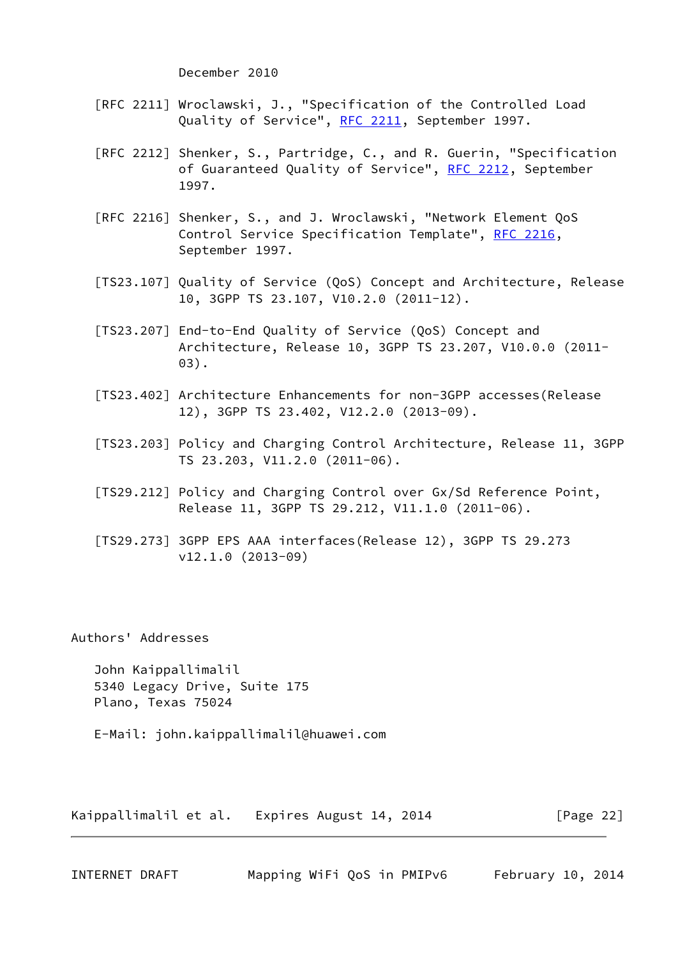December 2010

- [RFC 2211] Wroclawski, J., "Specification of the Controlled Load Quality of Service", [RFC 2211](https://datatracker.ietf.org/doc/pdf/rfc2211), September 1997.
- [RFC 2212] Shenker, S., Partridge, C., and R. Guerin, "Specification of Guaranteed Quality of Service", [RFC 2212](https://datatracker.ietf.org/doc/pdf/rfc2212), September 1997.
- [RFC 2216] Shenker, S., and J. Wroclawski, "Network Element QoS Control Service Specification Template", [RFC 2216,](https://datatracker.ietf.org/doc/pdf/rfc2216) September 1997.
- [TS23.107] Quality of Service (QoS) Concept and Architecture, Release 10, 3GPP TS 23.107, V10.2.0 (2011-12).
- [TS23.207] End-to-End Quality of Service (QoS) Concept and Architecture, Release 10, 3GPP TS 23.207, V10.0.0 (2011- 03).
- <span id="page-24-2"></span> [TS23.402] Architecture Enhancements for non-3GPP accesses(Release 12), 3GPP TS 23.402, V12.2.0 (2013-09).
- <span id="page-24-1"></span> [TS23.203] Policy and Charging Control Architecture, Release 11, 3GPP TS 23.203, V11.2.0 (2011-06).
- [TS29.212] Policy and Charging Control over Gx/Sd Reference Point, Release 11, 3GPP TS 29.212, V11.1.0 (2011-06).
- [TS29.273] 3GPP EPS AAA interfaces(Release 12), 3GPP TS 29.273 v12.1.0 (2013-09)

Authors' Addresses

 John Kaippallimalil 5340 Legacy Drive, Suite 175 Plano, Texas 75024

E-Mail: john.kaippallimalil@huawei.com

Kaippallimalil et al. Expires August 14, 2014 [Page 22]

<span id="page-24-0"></span>INTERNET DRAFT Mapping WiFi QoS in PMIPv6 February 10, 2014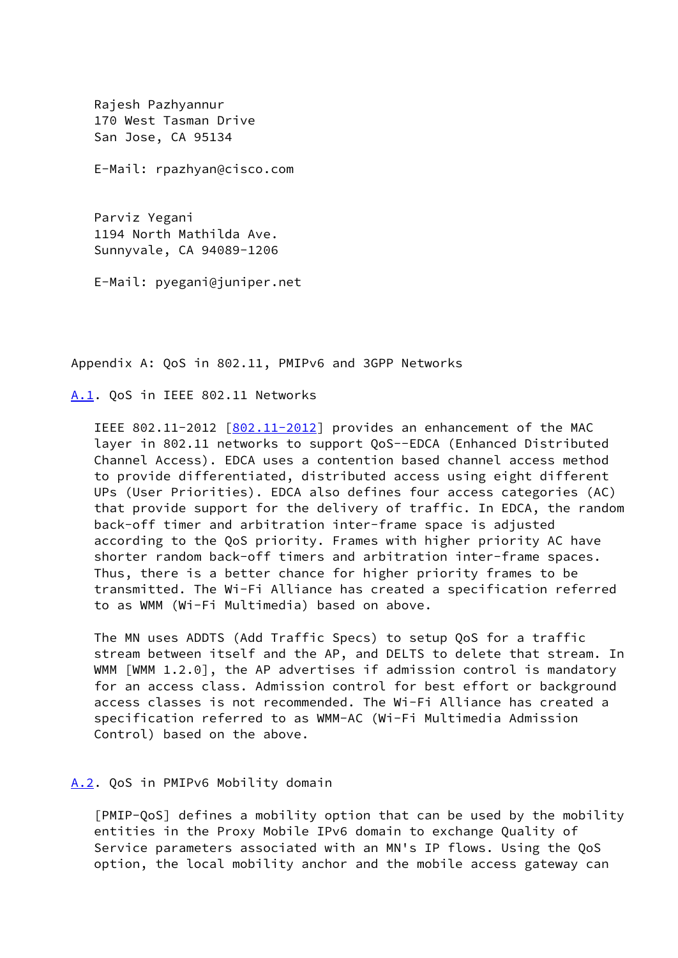Rajesh Pazhyannur 170 West Tasman Drive San Jose, CA 95134

E-Mail: rpazhyan@cisco.com

 Parviz Yegani 1194 North Mathilda Ave. Sunnyvale, CA 94089-1206

E-Mail: pyegani@juniper.net

Appendix A: QoS in 802.11, PMIPv6 and 3GPP Networks

<span id="page-25-0"></span>[A.1](#page-25-0). QoS in IEEE 802.11 Networks

IEEE 802.11-2012  $[802.11-2012]$  $[802.11-2012]$  provides an enhancement of the MAC layer in 802.11 networks to support QoS--EDCA (Enhanced Distributed Channel Access). EDCA uses a contention based channel access method to provide differentiated, distributed access using eight different UPs (User Priorities). EDCA also defines four access categories (AC) that provide support for the delivery of traffic. In EDCA, the random back-off timer and arbitration inter-frame space is adjusted according to the QoS priority. Frames with higher priority AC have shorter random back-off timers and arbitration inter-frame spaces. Thus, there is a better chance for higher priority frames to be transmitted. The Wi-Fi Alliance has created a specification referred to as WMM (Wi-Fi Multimedia) based on above.

 The MN uses ADDTS (Add Traffic Specs) to setup QoS for a traffic stream between itself and the AP, and DELTS to delete that stream. In WMM [WMM 1.2.0], the AP advertises if admission control is mandatory for an access class. Admission control for best effort or background access classes is not recommended. The Wi-Fi Alliance has created a specification referred to as WMM-AC (Wi-Fi Multimedia Admission Control) based on the above.

# <span id="page-25-1"></span>[A.2](#page-25-1). QoS in PMIPv6 Mobility domain

 [PMIP-QoS] defines a mobility option that can be used by the mobility entities in the Proxy Mobile IPv6 domain to exchange Quality of Service parameters associated with an MN's IP flows. Using the QoS option, the local mobility anchor and the mobile access gateway can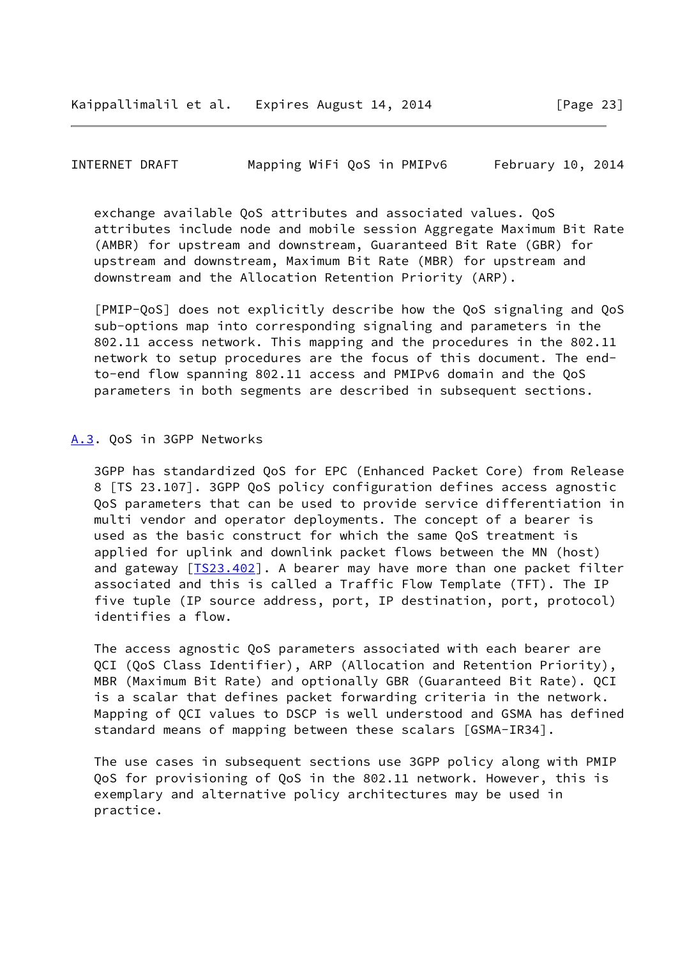<span id="page-26-1"></span>INTERNET DRAFT Mapping WiFi QoS in PMIPv6 February 10, 2014

 exchange available QoS attributes and associated values. QoS attributes include node and mobile session Aggregate Maximum Bit Rate (AMBR) for upstream and downstream, Guaranteed Bit Rate (GBR) for upstream and downstream, Maximum Bit Rate (MBR) for upstream and downstream and the Allocation Retention Priority (ARP).

 [PMIP-QoS] does not explicitly describe how the QoS signaling and QoS sub-options map into corresponding signaling and parameters in the 802.11 access network. This mapping and the procedures in the 802.11 network to setup procedures are the focus of this document. The end to-end flow spanning 802.11 access and PMIPv6 domain and the QoS parameters in both segments are described in subsequent sections.

#### <span id="page-26-0"></span>[A.3](#page-26-0). QoS in 3GPP Networks

 3GPP has standardized QoS for EPC (Enhanced Packet Core) from Release 8 [TS 23.107]. 3GPP QoS policy configuration defines access agnostic QoS parameters that can be used to provide service differentiation in multi vendor and operator deployments. The concept of a bearer is used as the basic construct for which the same QoS treatment is applied for uplink and downlink packet flows between the MN (host) and gateway [\[TS23.402](#page-24-2)]. A bearer may have more than one packet filter associated and this is called a Traffic Flow Template (TFT). The IP five tuple (IP source address, port, IP destination, port, protocol) identifies a flow.

 The access agnostic QoS parameters associated with each bearer are QCI (QoS Class Identifier), ARP (Allocation and Retention Priority), MBR (Maximum Bit Rate) and optionally GBR (Guaranteed Bit Rate). QCI is a scalar that defines packet forwarding criteria in the network. Mapping of QCI values to DSCP is well understood and GSMA has defined standard means of mapping between these scalars [GSMA-IR34].

 The use cases in subsequent sections use 3GPP policy along with PMIP QoS for provisioning of QoS in the 802.11 network. However, this is exemplary and alternative policy architectures may be used in practice.